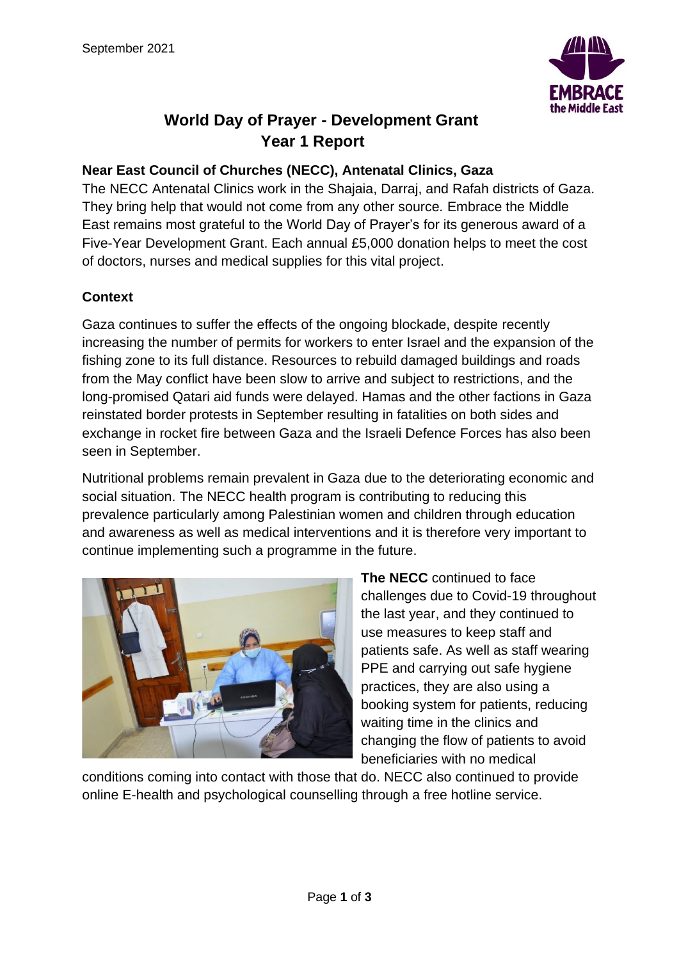

## **World Day of Prayer - Development Grant Year 1 Report**

## **Near East Council of Churches (NECC), Antenatal Clinics, Gaza**

The NECC Antenatal Clinics work in the Shajaia, Darraj, and Rafah districts of Gaza. They bring help that would not come from any other source. Embrace the Middle East remains most grateful to the World Day of Prayer's for its generous award of a Five-Year Development Grant. Each annual £5,000 donation helps to meet the cost of doctors, nurses and medical supplies for this vital project.

## **Context**

Gaza continues to suffer the effects of the ongoing blockade, despite recently increasing the number of permits for workers to enter Israel and the expansion of the fishing zone to its full distance. Resources to rebuild damaged buildings and roads from the May conflict have been slow to arrive and subject to restrictions, and the long-promised Qatari aid funds were delayed. Hamas and the other factions in Gaza reinstated border protests in September resulting in fatalities on both sides and exchange in rocket fire between Gaza and the Israeli Defence Forces has also been seen in September.

Nutritional problems remain prevalent in Gaza due to the deteriorating economic and social situation. The NECC health program is contributing to reducing this prevalence particularly among Palestinian women and children through education and awareness as well as medical interventions and it is therefore very important to continue implementing such a programme in the future.



**The NECC** continued to face challenges due to Covid-19 throughout the last year, and they continued to use measures to keep staff and patients safe. As well as staff wearing PPE and carrying out safe hygiene practices, they are also using a booking system for patients, reducing waiting time in the clinics and changing the flow of patients to avoid beneficiaries with no medical

conditions coming into contact with those that do. NECC also continued to provide online E-health and psychological counselling through a free hotline service.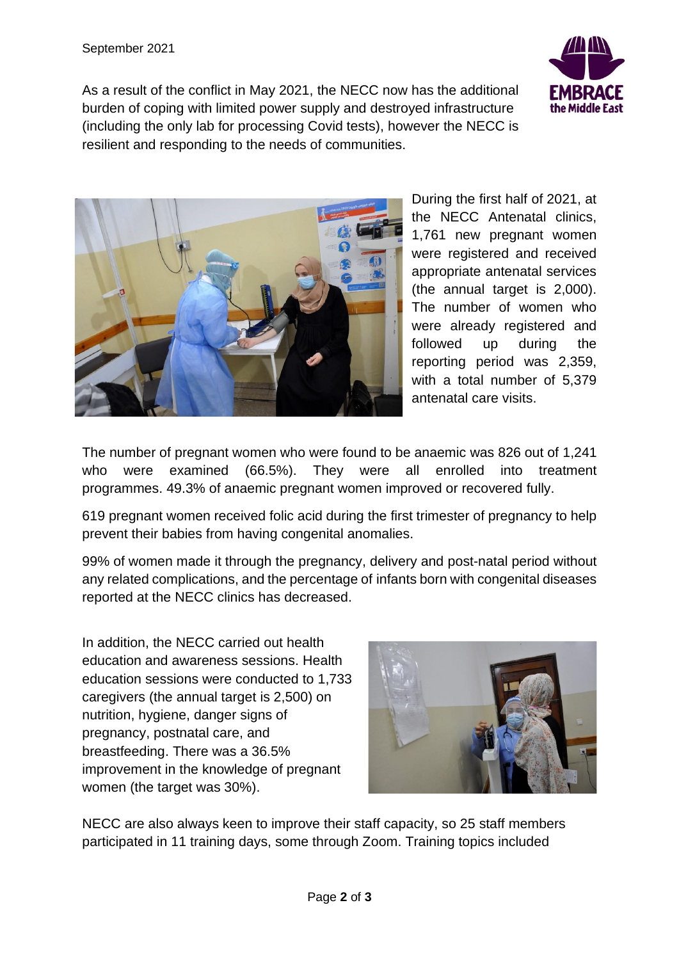As a result of the conflict in May 2021, the NECC now has the additional burden of coping with limited power supply and destroyed infrastructure (including the only lab for processing Covid tests), however the NECC is resilient and responding to the needs of communities.





During the first half of 2021, at the NECC Antenatal clinics, 1,761 new pregnant women were registered and received appropriate antenatal services (the annual target is 2,000). The number of women who were already registered and followed up during the reporting period was 2,359, with a total number of 5,379 antenatal care visits.

The number of pregnant women who were found to be anaemic was 826 out of 1,241 who were examined (66.5%). They were all enrolled into treatment programmes. 49.3% of anaemic pregnant women improved or recovered fully.

619 pregnant women received folic acid during the first trimester of pregnancy to help prevent their babies from having congenital anomalies.

99% of women made it through the pregnancy, delivery and post-natal period without any related complications, and the percentage of infants born with congenital diseases reported at the NECC clinics has decreased.

In addition, the NECC carried out health education and awareness sessions. Health education sessions were conducted to 1,733 caregivers (the annual target is 2,500) on nutrition, hygiene, danger signs of pregnancy, postnatal care, and breastfeeding. There was a 36.5% improvement in the knowledge of pregnant women (the target was 30%).



NECC are also always keen to improve their staff capacity, so 25 staff members participated in 11 training days, some through Zoom. Training topics included